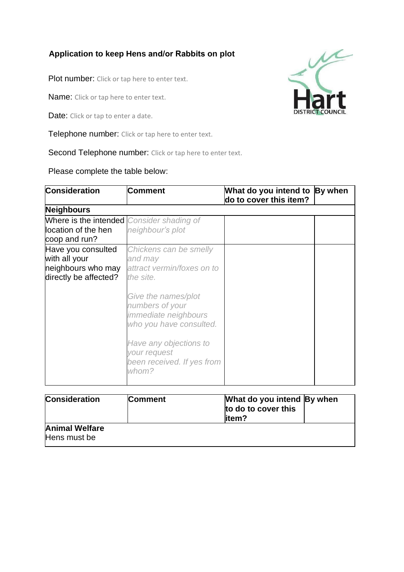## **Application to keep Hens and/or Rabbits on plot**

Plot number: Click or tap here to enter text.

Name: Click or tap here to enter text.

Date: Click or tap to enter a date.

Telephone number: Click or tap here to enter text.

Second Telephone number: Click or tap here to enter text.

Please complete the table below:



| <b>Consideration</b>                  | <b>Comment</b> | What do you intend By when<br>to do to cover this<br>litem? |
|---------------------------------------|----------------|-------------------------------------------------------------|
| <b>Animal Welfare</b><br>Hens must be |                |                                                             |